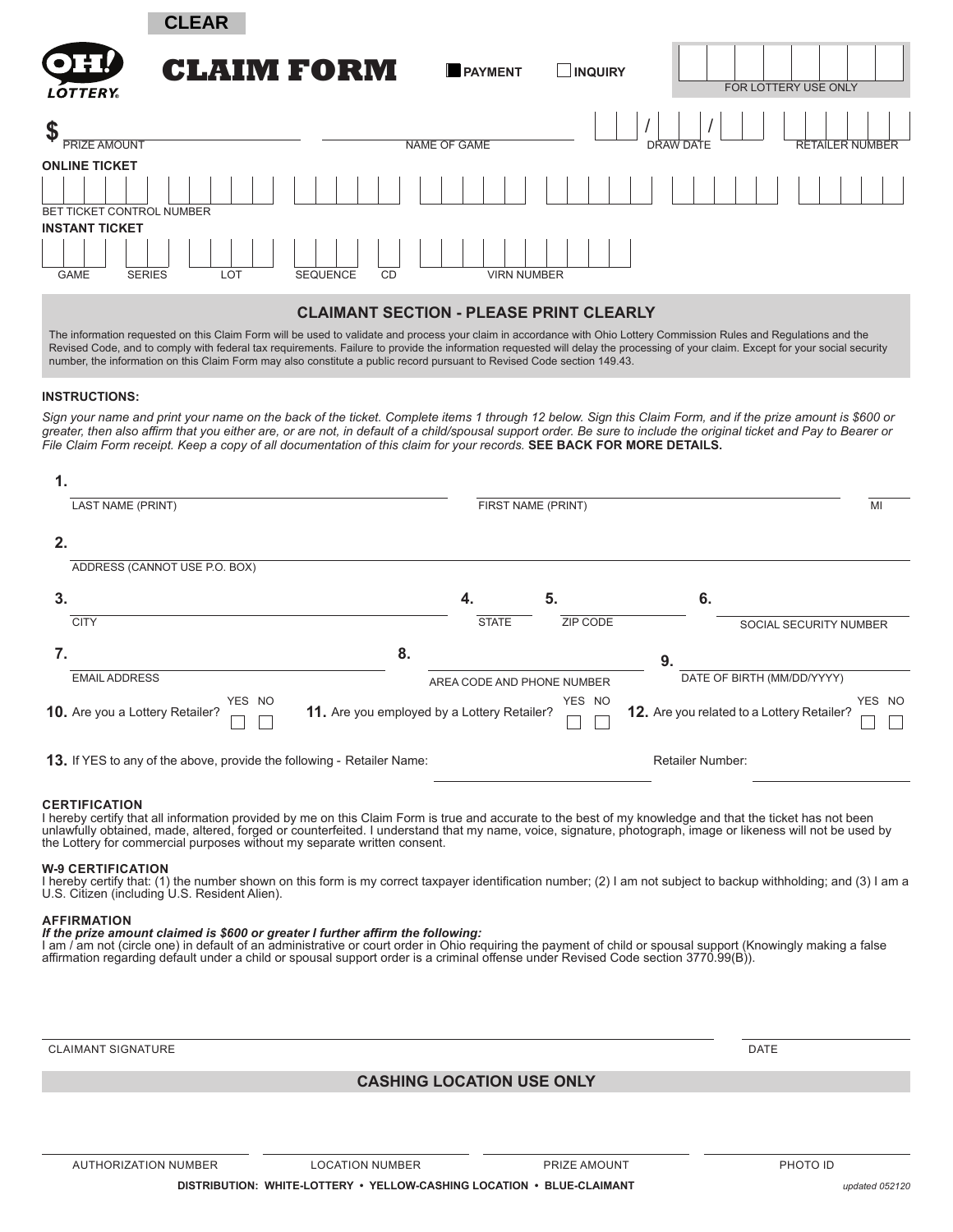|                                                       | <b>CLEAR</b>      |                              |                     |               |           |                        |
|-------------------------------------------------------|-------------------|------------------------------|---------------------|---------------|-----------|------------------------|
| OH!<br><b>LOTTERY</b>                                 | <b>CLAIM FORM</b> |                              | PAYMENT             | <b>NQUIRY</b> |           | FOR LOTTERY USE ONLY   |
| \$<br><b>PRIZE AMOUNT</b>                             |                   |                              | <b>NAME OF GAME</b> |               | DRAW DATE | <b>RETAILER NUMBER</b> |
| <b>ONLINE TICKET</b><br>BET TICKET CONTROL NUMBER     |                   |                              |                     |               |           |                        |
| <b>INSTANT TICKET</b><br><b>SERIES</b><br><b>GAME</b> | LOT               | <b>SEQUENCE</b><br><b>CD</b> | <b>VIRN NUMBER</b>  |               |           |                        |

#### **CLAIMANT SECTION - PLEASE PRINT CLEARLY**

The information requested on this Claim Form will be used to validate and process your claim in accordance with Ohio Lottery Commission Rules and Regulations and the Revised Code, and to comply with federal tax requirements. Failure to provide the information requested will delay the processing of your claim. Except for your social security number, the information on this Claim Form may also constitute a public record pursuant to Revised Code section 149.43.

#### **INSTRUCTIONS:**

*Sign your name and print your name on the back of the ticket. Complete items 1 through 12 below. Sign this Claim Form, and if the prize amount is \$600 or*  greater, then also affirm that you either are, or are not, in default of a child/spousal support order. Be sure to include the original ticket and Pay to Bearer or *File Claim Form receipt. Keep a copy of all documentation of this claim for your records.* **SEE BACK FOR MORE DETAILS.**

| 1. |                                                                        |                                                       |                            |          |                                                             |                            |  |
|----|------------------------------------------------------------------------|-------------------------------------------------------|----------------------------|----------|-------------------------------------------------------------|----------------------------|--|
|    | <b>LAST NAME (PRINT)</b>                                               |                                                       | FIRST NAME (PRINT)         | MI       |                                                             |                            |  |
| 2. |                                                                        |                                                       |                            |          |                                                             |                            |  |
|    | ADDRESS (CANNOT USE P.O. BOX)                                          |                                                       |                            |          |                                                             |                            |  |
| 3. |                                                                        |                                                       | 4.                         | 5.       | 6.                                                          |                            |  |
|    | <b>CITY</b>                                                            |                                                       | <b>STATE</b>               | ZIP CODE |                                                             | SOCIAL SECURITY NUMBER     |  |
| 7. |                                                                        | 8.                                                    |                            |          | 9.                                                          |                            |  |
|    | <b>EMAIL ADDRESS</b>                                                   |                                                       | AREA CODE AND PHONE NUMBER |          |                                                             | DATE OF BIRTH (MM/DD/YYYY) |  |
|    | YES NO<br>10. Are you a Lottery Retailer?                              | YES NO<br>11. Are you employed by a Lottery Retailer? |                            |          | YES NO<br><b>12.</b> Are you related to a Lottery Retailer? |                            |  |
|    | 13. If YES to any of the above, provide the following - Retailer Name: |                                                       |                            |          |                                                             | <b>Retailer Number:</b>    |  |

#### **CERTIFICATION**

I hereby certify that all information provided by me on this Claim Form is true and accurate to the best of my knowledge and that the ticket has not been unlawfully obtained, made, altered, forged or counterfeited. I understand that my name, voice, signature, photograph, image or likeness will not be used by the Lottery for commercial purposes without my separate written consent.

#### **W-9 CERTIFICATION**

I hereby certify that: (1) the number shown on this form is my correct taxpayer identification number; (2) I am not subject to backup withholding; and (3) I am a U.S. Citizen (including U.S. Resident Alien).

#### **AFFIRMATION**

#### *If the prize amount claimed is \$600 or greater I further affirm the following:*

I am / am not (circle one) in default of an administrative or court order in Ohio requiring the payment of child or spousal support (Knowingly making a false affirmation regarding default under a child or spousal support order is a criminal offense under Revised Code section 3770.99(B)).

CLAIMANT SIGNATURE DATE DATE ON A SERVICE SERVICE OF A SERVICE OF A SERVICE OF A SERVICE OF A SERVICE OF A SERVICE OF A SERVICE OF A SERVICE OF A SERVICE OF A SERVICE OF A SERVICE OF A SERVICE OF A SERVICE OF A SERVICE OF

#### **CASHING LOCATION USE ONLY**